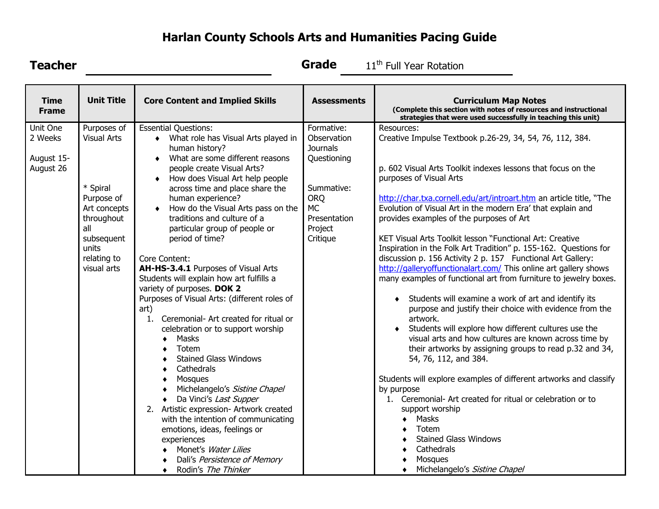## **Harlan County Schools Arts and Humanities Pacing Guide**

| <b>Teacher</b>                                 |                                                                                                                                                       |                                                                                                                                                                                                                                                                                                                                                                                                                                                                                                                                                                                                                                                                                                                                                                                                                                                                                                                                                                                                                                                           | <b>Grade</b>                                                                                                                                | 11 <sup>th</sup> Full Year Rotation                                                                                                                                                                                                                                                                                                                                                                                                                                                                                                                                                                                                                                                                                                                                                                                                                                                                                                                                                                                                                                                                                                                                                                                                                                                                                              |
|------------------------------------------------|-------------------------------------------------------------------------------------------------------------------------------------------------------|-----------------------------------------------------------------------------------------------------------------------------------------------------------------------------------------------------------------------------------------------------------------------------------------------------------------------------------------------------------------------------------------------------------------------------------------------------------------------------------------------------------------------------------------------------------------------------------------------------------------------------------------------------------------------------------------------------------------------------------------------------------------------------------------------------------------------------------------------------------------------------------------------------------------------------------------------------------------------------------------------------------------------------------------------------------|---------------------------------------------------------------------------------------------------------------------------------------------|----------------------------------------------------------------------------------------------------------------------------------------------------------------------------------------------------------------------------------------------------------------------------------------------------------------------------------------------------------------------------------------------------------------------------------------------------------------------------------------------------------------------------------------------------------------------------------------------------------------------------------------------------------------------------------------------------------------------------------------------------------------------------------------------------------------------------------------------------------------------------------------------------------------------------------------------------------------------------------------------------------------------------------------------------------------------------------------------------------------------------------------------------------------------------------------------------------------------------------------------------------------------------------------------------------------------------------|
| <b>Time</b><br><b>Frame</b>                    | <b>Unit Title</b>                                                                                                                                     | <b>Core Content and Implied Skills</b>                                                                                                                                                                                                                                                                                                                                                                                                                                                                                                                                                                                                                                                                                                                                                                                                                                                                                                                                                                                                                    | <b>Assessments</b>                                                                                                                          | <b>Curriculum Map Notes</b><br>(Complete this section with notes of resources and instructional<br>strategies that were used successfully in teaching this unit)                                                                                                                                                                                                                                                                                                                                                                                                                                                                                                                                                                                                                                                                                                                                                                                                                                                                                                                                                                                                                                                                                                                                                                 |
| Unit One<br>2 Weeks<br>August 15-<br>August 26 | Purposes of<br><b>Visual Arts</b><br>* Spiral<br>Purpose of<br>Art concepts<br>throughout<br>all<br>subsequent<br>units<br>relating to<br>visual arts | <b>Essential Questions:</b><br>What role has Visual Arts played in<br>human history?<br>What are some different reasons<br>$\bullet$<br>people create Visual Arts?<br>How does Visual Art help people<br>٠<br>across time and place share the<br>human experience?<br>How do the Visual Arts pass on the<br>$\bullet$<br>traditions and culture of a<br>particular group of people or<br>period of time?<br>Core Content:<br>AH-HS-3.4.1 Purposes of Visual Arts<br>Students will explain how art fulfills a<br>variety of purposes. DOK 2<br>Purposes of Visual Arts: (different roles of<br>art)<br>Ceremonial- Art created for ritual or<br>1.<br>celebration or to support worship<br>Masks<br>Totem<br><b>Stained Glass Windows</b><br>Cathedrals<br>Mosques<br>Michelangelo's Sistine Chapel<br>Da Vinci's Last Supper<br>2. Artistic expression- Artwork created<br>with the intention of communicating<br>emotions, ideas, feelings or<br>experiences<br>Monet's Water Lilies<br>Dali's Persistence of Memory<br>Rodin's The Thinker<br>$\bullet$ | Formative:<br>Observation<br><b>Journals</b><br>Questioning<br>Summative:<br><b>ORQ</b><br><b>MC</b><br>Presentation<br>Project<br>Critique | Resources:<br>Creative Impulse Textbook p.26-29, 34, 54, 76, 112, 384.<br>p. 602 Visual Arts Toolkit indexes lessons that focus on the<br>purposes of Visual Arts<br>http://char.txa.cornell.edu/art/introart.htm an article title, "The<br>Evolution of Visual Art in the modern Era' that explain and<br>provides examples of the purposes of Art<br>KET Visual Arts Toolkit lesson "Functional Art: Creative<br>Inspiration in the Folk Art Tradition" p. 155-162. Questions for<br>discussion p. 156 Activity 2 p. 157 Functional Art Gallery:<br>http://galleryoffunctionalart.com/ This online art gallery shows<br>many examples of functional art from furniture to jewelry boxes.<br>Students will examine a work of art and identify its<br>purpose and justify their choice with evidence from the<br>artwork.<br>Students will explore how different cultures use the<br>٠<br>visual arts and how cultures are known across time by<br>their artworks by assigning groups to read p.32 and 34,<br>54, 76, 112, and 384.<br>Students will explore examples of different artworks and classify<br>by purpose<br>1. Ceremonial- Art created for ritual or celebration or to<br>support worship<br>Masks<br>$\bullet$<br>Totem<br><b>Stained Glass Windows</b><br>Cathedrals<br>Mosques<br>Michelangelo's Sistine Chapel |